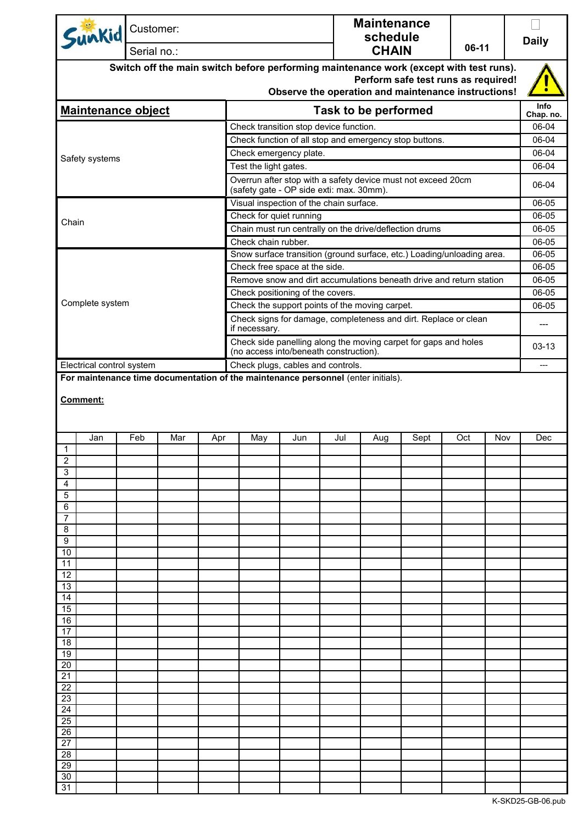| <b>CHAIN</b><br>Serial no.:<br>Switch off the main switch before performing maintenance work (except with test runs).<br>Perform safe test runs as required!<br>Observe the operation and maintenance instructions!<br>Info<br><b>Maintenance object</b><br>Task to be performed<br>Chap. no.<br>Check transition stop device function.<br>06-04<br>Check function of all stop and emergency stop buttons.<br>06-04<br>Check emergency plate.<br>06-04<br>Safety systems<br>06-04<br>Test the light gates.<br>Overrun after stop with a safety device must not exceed 20cm<br>06-04<br>(safety gate - OP side exti: max. 30mm).<br>Visual inspection of the chain surface.<br>06-05<br>Check for quiet running<br>06-05<br>Chain<br>Chain must run centrally on the drive/deflection drums<br>06-05<br>Check chain rubber.<br>06-05<br>Snow surface transition (ground surface, etc.) Loading/unloading area.<br>06-05<br>06-05<br>Check free space at the side.<br>Remove snow and dirt accumulations beneath drive and return station<br>06-05<br>Check positioning of the covers.<br>06-05<br>Complete system<br>Check the support points of the moving carpet.<br>06-05<br>Check signs for damage, completeness and dirt. Replace or clean<br>$---$<br>if necessary.<br>Check side panelling along the moving carpet for gaps and holes<br>$03 - 13$<br>(no access into/beneath construction).<br>Check plugs, cables and controls.<br>Electrical control system<br>---<br>For maintenance time documentation of the maintenance personnel (enter initials).<br>Comment:<br>Feb<br>Mar<br>Jul<br>Oct<br>Nov<br>Jan<br>May<br>Jun<br>Sept<br>Dec<br>Apr<br>Aug<br>$\mathbf{1}$<br>2<br>3<br>4<br>5<br>6<br>$\overline{7}$<br>8<br>9<br>10<br>11<br>12<br>13<br>14<br>15<br>16<br>17<br>18<br>19<br>20<br>21<br>22<br>23<br>24<br>25<br>$\overline{26}$<br>27<br>28<br>$\overline{29}$<br>30 | Sunkid |  | Customer: |  |  |  | <b>Maintenance</b><br>schedule |  |  | <b>Daily</b> |
|------------------------------------------------------------------------------------------------------------------------------------------------------------------------------------------------------------------------------------------------------------------------------------------------------------------------------------------------------------------------------------------------------------------------------------------------------------------------------------------------------------------------------------------------------------------------------------------------------------------------------------------------------------------------------------------------------------------------------------------------------------------------------------------------------------------------------------------------------------------------------------------------------------------------------------------------------------------------------------------------------------------------------------------------------------------------------------------------------------------------------------------------------------------------------------------------------------------------------------------------------------------------------------------------------------------------------------------------------------------------------------------------------------------------------------------------------------------------------------------------------------------------------------------------------------------------------------------------------------------------------------------------------------------------------------------------------------------------------------------------------------------------------------------------------------------------------------------------------------------------------------------------|--------|--|-----------|--|--|--|--------------------------------|--|--|--------------|
|                                                                                                                                                                                                                                                                                                                                                                                                                                                                                                                                                                                                                                                                                                                                                                                                                                                                                                                                                                                                                                                                                                                                                                                                                                                                                                                                                                                                                                                                                                                                                                                                                                                                                                                                                                                                                                                                                                |        |  |           |  |  |  | 06-11                          |  |  |              |
|                                                                                                                                                                                                                                                                                                                                                                                                                                                                                                                                                                                                                                                                                                                                                                                                                                                                                                                                                                                                                                                                                                                                                                                                                                                                                                                                                                                                                                                                                                                                                                                                                                                                                                                                                                                                                                                                                                |        |  |           |  |  |  |                                |  |  |              |
|                                                                                                                                                                                                                                                                                                                                                                                                                                                                                                                                                                                                                                                                                                                                                                                                                                                                                                                                                                                                                                                                                                                                                                                                                                                                                                                                                                                                                                                                                                                                                                                                                                                                                                                                                                                                                                                                                                |        |  |           |  |  |  |                                |  |  |              |
|                                                                                                                                                                                                                                                                                                                                                                                                                                                                                                                                                                                                                                                                                                                                                                                                                                                                                                                                                                                                                                                                                                                                                                                                                                                                                                                                                                                                                                                                                                                                                                                                                                                                                                                                                                                                                                                                                                |        |  |           |  |  |  |                                |  |  |              |
|                                                                                                                                                                                                                                                                                                                                                                                                                                                                                                                                                                                                                                                                                                                                                                                                                                                                                                                                                                                                                                                                                                                                                                                                                                                                                                                                                                                                                                                                                                                                                                                                                                                                                                                                                                                                                                                                                                |        |  |           |  |  |  |                                |  |  |              |
|                                                                                                                                                                                                                                                                                                                                                                                                                                                                                                                                                                                                                                                                                                                                                                                                                                                                                                                                                                                                                                                                                                                                                                                                                                                                                                                                                                                                                                                                                                                                                                                                                                                                                                                                                                                                                                                                                                |        |  |           |  |  |  |                                |  |  |              |
|                                                                                                                                                                                                                                                                                                                                                                                                                                                                                                                                                                                                                                                                                                                                                                                                                                                                                                                                                                                                                                                                                                                                                                                                                                                                                                                                                                                                                                                                                                                                                                                                                                                                                                                                                                                                                                                                                                |        |  |           |  |  |  |                                |  |  |              |
|                                                                                                                                                                                                                                                                                                                                                                                                                                                                                                                                                                                                                                                                                                                                                                                                                                                                                                                                                                                                                                                                                                                                                                                                                                                                                                                                                                                                                                                                                                                                                                                                                                                                                                                                                                                                                                                                                                |        |  |           |  |  |  |                                |  |  |              |
|                                                                                                                                                                                                                                                                                                                                                                                                                                                                                                                                                                                                                                                                                                                                                                                                                                                                                                                                                                                                                                                                                                                                                                                                                                                                                                                                                                                                                                                                                                                                                                                                                                                                                                                                                                                                                                                                                                |        |  |           |  |  |  |                                |  |  |              |
|                                                                                                                                                                                                                                                                                                                                                                                                                                                                                                                                                                                                                                                                                                                                                                                                                                                                                                                                                                                                                                                                                                                                                                                                                                                                                                                                                                                                                                                                                                                                                                                                                                                                                                                                                                                                                                                                                                |        |  |           |  |  |  |                                |  |  |              |
|                                                                                                                                                                                                                                                                                                                                                                                                                                                                                                                                                                                                                                                                                                                                                                                                                                                                                                                                                                                                                                                                                                                                                                                                                                                                                                                                                                                                                                                                                                                                                                                                                                                                                                                                                                                                                                                                                                |        |  |           |  |  |  |                                |  |  |              |
|                                                                                                                                                                                                                                                                                                                                                                                                                                                                                                                                                                                                                                                                                                                                                                                                                                                                                                                                                                                                                                                                                                                                                                                                                                                                                                                                                                                                                                                                                                                                                                                                                                                                                                                                                                                                                                                                                                |        |  |           |  |  |  |                                |  |  |              |
|                                                                                                                                                                                                                                                                                                                                                                                                                                                                                                                                                                                                                                                                                                                                                                                                                                                                                                                                                                                                                                                                                                                                                                                                                                                                                                                                                                                                                                                                                                                                                                                                                                                                                                                                                                                                                                                                                                |        |  |           |  |  |  |                                |  |  |              |
|                                                                                                                                                                                                                                                                                                                                                                                                                                                                                                                                                                                                                                                                                                                                                                                                                                                                                                                                                                                                                                                                                                                                                                                                                                                                                                                                                                                                                                                                                                                                                                                                                                                                                                                                                                                                                                                                                                |        |  |           |  |  |  |                                |  |  |              |
|                                                                                                                                                                                                                                                                                                                                                                                                                                                                                                                                                                                                                                                                                                                                                                                                                                                                                                                                                                                                                                                                                                                                                                                                                                                                                                                                                                                                                                                                                                                                                                                                                                                                                                                                                                                                                                                                                                |        |  |           |  |  |  |                                |  |  |              |
|                                                                                                                                                                                                                                                                                                                                                                                                                                                                                                                                                                                                                                                                                                                                                                                                                                                                                                                                                                                                                                                                                                                                                                                                                                                                                                                                                                                                                                                                                                                                                                                                                                                                                                                                                                                                                                                                                                |        |  |           |  |  |  |                                |  |  |              |
|                                                                                                                                                                                                                                                                                                                                                                                                                                                                                                                                                                                                                                                                                                                                                                                                                                                                                                                                                                                                                                                                                                                                                                                                                                                                                                                                                                                                                                                                                                                                                                                                                                                                                                                                                                                                                                                                                                |        |  |           |  |  |  |                                |  |  |              |
|                                                                                                                                                                                                                                                                                                                                                                                                                                                                                                                                                                                                                                                                                                                                                                                                                                                                                                                                                                                                                                                                                                                                                                                                                                                                                                                                                                                                                                                                                                                                                                                                                                                                                                                                                                                                                                                                                                |        |  |           |  |  |  |                                |  |  |              |
|                                                                                                                                                                                                                                                                                                                                                                                                                                                                                                                                                                                                                                                                                                                                                                                                                                                                                                                                                                                                                                                                                                                                                                                                                                                                                                                                                                                                                                                                                                                                                                                                                                                                                                                                                                                                                                                                                                |        |  |           |  |  |  |                                |  |  |              |
|                                                                                                                                                                                                                                                                                                                                                                                                                                                                                                                                                                                                                                                                                                                                                                                                                                                                                                                                                                                                                                                                                                                                                                                                                                                                                                                                                                                                                                                                                                                                                                                                                                                                                                                                                                                                                                                                                                |        |  |           |  |  |  |                                |  |  |              |
|                                                                                                                                                                                                                                                                                                                                                                                                                                                                                                                                                                                                                                                                                                                                                                                                                                                                                                                                                                                                                                                                                                                                                                                                                                                                                                                                                                                                                                                                                                                                                                                                                                                                                                                                                                                                                                                                                                |        |  |           |  |  |  |                                |  |  |              |
|                                                                                                                                                                                                                                                                                                                                                                                                                                                                                                                                                                                                                                                                                                                                                                                                                                                                                                                                                                                                                                                                                                                                                                                                                                                                                                                                                                                                                                                                                                                                                                                                                                                                                                                                                                                                                                                                                                |        |  |           |  |  |  |                                |  |  |              |
|                                                                                                                                                                                                                                                                                                                                                                                                                                                                                                                                                                                                                                                                                                                                                                                                                                                                                                                                                                                                                                                                                                                                                                                                                                                                                                                                                                                                                                                                                                                                                                                                                                                                                                                                                                                                                                                                                                |        |  |           |  |  |  |                                |  |  |              |
|                                                                                                                                                                                                                                                                                                                                                                                                                                                                                                                                                                                                                                                                                                                                                                                                                                                                                                                                                                                                                                                                                                                                                                                                                                                                                                                                                                                                                                                                                                                                                                                                                                                                                                                                                                                                                                                                                                |        |  |           |  |  |  |                                |  |  |              |
|                                                                                                                                                                                                                                                                                                                                                                                                                                                                                                                                                                                                                                                                                                                                                                                                                                                                                                                                                                                                                                                                                                                                                                                                                                                                                                                                                                                                                                                                                                                                                                                                                                                                                                                                                                                                                                                                                                |        |  |           |  |  |  |                                |  |  |              |
|                                                                                                                                                                                                                                                                                                                                                                                                                                                                                                                                                                                                                                                                                                                                                                                                                                                                                                                                                                                                                                                                                                                                                                                                                                                                                                                                                                                                                                                                                                                                                                                                                                                                                                                                                                                                                                                                                                |        |  |           |  |  |  |                                |  |  |              |
|                                                                                                                                                                                                                                                                                                                                                                                                                                                                                                                                                                                                                                                                                                                                                                                                                                                                                                                                                                                                                                                                                                                                                                                                                                                                                                                                                                                                                                                                                                                                                                                                                                                                                                                                                                                                                                                                                                |        |  |           |  |  |  |                                |  |  |              |
|                                                                                                                                                                                                                                                                                                                                                                                                                                                                                                                                                                                                                                                                                                                                                                                                                                                                                                                                                                                                                                                                                                                                                                                                                                                                                                                                                                                                                                                                                                                                                                                                                                                                                                                                                                                                                                                                                                |        |  |           |  |  |  |                                |  |  |              |
|                                                                                                                                                                                                                                                                                                                                                                                                                                                                                                                                                                                                                                                                                                                                                                                                                                                                                                                                                                                                                                                                                                                                                                                                                                                                                                                                                                                                                                                                                                                                                                                                                                                                                                                                                                                                                                                                                                |        |  |           |  |  |  |                                |  |  |              |
|                                                                                                                                                                                                                                                                                                                                                                                                                                                                                                                                                                                                                                                                                                                                                                                                                                                                                                                                                                                                                                                                                                                                                                                                                                                                                                                                                                                                                                                                                                                                                                                                                                                                                                                                                                                                                                                                                                |        |  |           |  |  |  |                                |  |  |              |
|                                                                                                                                                                                                                                                                                                                                                                                                                                                                                                                                                                                                                                                                                                                                                                                                                                                                                                                                                                                                                                                                                                                                                                                                                                                                                                                                                                                                                                                                                                                                                                                                                                                                                                                                                                                                                                                                                                |        |  |           |  |  |  |                                |  |  |              |
|                                                                                                                                                                                                                                                                                                                                                                                                                                                                                                                                                                                                                                                                                                                                                                                                                                                                                                                                                                                                                                                                                                                                                                                                                                                                                                                                                                                                                                                                                                                                                                                                                                                                                                                                                                                                                                                                                                |        |  |           |  |  |  |                                |  |  |              |
|                                                                                                                                                                                                                                                                                                                                                                                                                                                                                                                                                                                                                                                                                                                                                                                                                                                                                                                                                                                                                                                                                                                                                                                                                                                                                                                                                                                                                                                                                                                                                                                                                                                                                                                                                                                                                                                                                                |        |  |           |  |  |  |                                |  |  |              |
|                                                                                                                                                                                                                                                                                                                                                                                                                                                                                                                                                                                                                                                                                                                                                                                                                                                                                                                                                                                                                                                                                                                                                                                                                                                                                                                                                                                                                                                                                                                                                                                                                                                                                                                                                                                                                                                                                                |        |  |           |  |  |  |                                |  |  |              |
|                                                                                                                                                                                                                                                                                                                                                                                                                                                                                                                                                                                                                                                                                                                                                                                                                                                                                                                                                                                                                                                                                                                                                                                                                                                                                                                                                                                                                                                                                                                                                                                                                                                                                                                                                                                                                                                                                                |        |  |           |  |  |  |                                |  |  |              |
|                                                                                                                                                                                                                                                                                                                                                                                                                                                                                                                                                                                                                                                                                                                                                                                                                                                                                                                                                                                                                                                                                                                                                                                                                                                                                                                                                                                                                                                                                                                                                                                                                                                                                                                                                                                                                                                                                                |        |  |           |  |  |  |                                |  |  |              |
|                                                                                                                                                                                                                                                                                                                                                                                                                                                                                                                                                                                                                                                                                                                                                                                                                                                                                                                                                                                                                                                                                                                                                                                                                                                                                                                                                                                                                                                                                                                                                                                                                                                                                                                                                                                                                                                                                                |        |  |           |  |  |  |                                |  |  |              |
|                                                                                                                                                                                                                                                                                                                                                                                                                                                                                                                                                                                                                                                                                                                                                                                                                                                                                                                                                                                                                                                                                                                                                                                                                                                                                                                                                                                                                                                                                                                                                                                                                                                                                                                                                                                                                                                                                                |        |  |           |  |  |  |                                |  |  |              |
|                                                                                                                                                                                                                                                                                                                                                                                                                                                                                                                                                                                                                                                                                                                                                                                                                                                                                                                                                                                                                                                                                                                                                                                                                                                                                                                                                                                                                                                                                                                                                                                                                                                                                                                                                                                                                                                                                                |        |  |           |  |  |  |                                |  |  |              |
|                                                                                                                                                                                                                                                                                                                                                                                                                                                                                                                                                                                                                                                                                                                                                                                                                                                                                                                                                                                                                                                                                                                                                                                                                                                                                                                                                                                                                                                                                                                                                                                                                                                                                                                                                                                                                                                                                                |        |  |           |  |  |  |                                |  |  |              |
|                                                                                                                                                                                                                                                                                                                                                                                                                                                                                                                                                                                                                                                                                                                                                                                                                                                                                                                                                                                                                                                                                                                                                                                                                                                                                                                                                                                                                                                                                                                                                                                                                                                                                                                                                                                                                                                                                                |        |  |           |  |  |  |                                |  |  |              |
|                                                                                                                                                                                                                                                                                                                                                                                                                                                                                                                                                                                                                                                                                                                                                                                                                                                                                                                                                                                                                                                                                                                                                                                                                                                                                                                                                                                                                                                                                                                                                                                                                                                                                                                                                                                                                                                                                                |        |  |           |  |  |  |                                |  |  |              |
|                                                                                                                                                                                                                                                                                                                                                                                                                                                                                                                                                                                                                                                                                                                                                                                                                                                                                                                                                                                                                                                                                                                                                                                                                                                                                                                                                                                                                                                                                                                                                                                                                                                                                                                                                                                                                                                                                                |        |  |           |  |  |  |                                |  |  |              |
|                                                                                                                                                                                                                                                                                                                                                                                                                                                                                                                                                                                                                                                                                                                                                                                                                                                                                                                                                                                                                                                                                                                                                                                                                                                                                                                                                                                                                                                                                                                                                                                                                                                                                                                                                                                                                                                                                                |        |  |           |  |  |  |                                |  |  |              |
|                                                                                                                                                                                                                                                                                                                                                                                                                                                                                                                                                                                                                                                                                                                                                                                                                                                                                                                                                                                                                                                                                                                                                                                                                                                                                                                                                                                                                                                                                                                                                                                                                                                                                                                                                                                                                                                                                                |        |  |           |  |  |  |                                |  |  |              |
|                                                                                                                                                                                                                                                                                                                                                                                                                                                                                                                                                                                                                                                                                                                                                                                                                                                                                                                                                                                                                                                                                                                                                                                                                                                                                                                                                                                                                                                                                                                                                                                                                                                                                                                                                                                                                                                                                                | 31     |  |           |  |  |  |                                |  |  |              |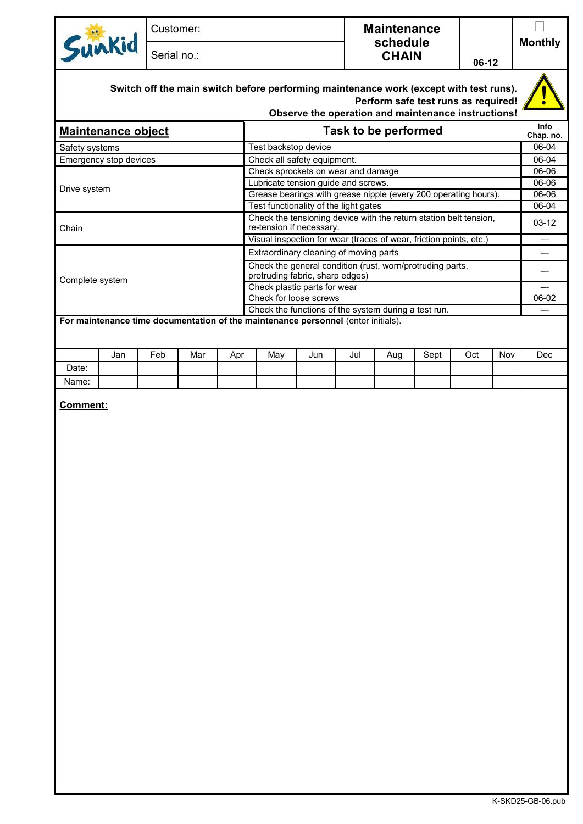| $\mathbf{e}$<br>$V_{1}$ | Customer:   | <b>Maintenance</b>       |       |                |
|-------------------------|-------------|--------------------------|-------|----------------|
|                         | Serial no.: | schedule<br><b>CHAIN</b> | 06-12 | <b>Monthly</b> |
|                         |             |                          |       | æ.             |

## **Switch off the main switch before performing maintenance work (except with test runs). Perform safe test runs as required!**

|                           | Observe the operation and maintenance instructions!                                           |                   |
|---------------------------|-----------------------------------------------------------------------------------------------|-------------------|
| <b>Maintenance object</b> | Task to be performed                                                                          | Info<br>Chap. no. |
| Safety systems            | Test backstop device                                                                          | 06-04             |
| Emergency stop devices    | Check all safety equipment.                                                                   | 06-04             |
|                           | Check sprockets on wear and damage                                                            | 06-06             |
|                           | Lubricate tension guide and screws.                                                           | 06-06             |
| Drive system              | Grease bearings with grease nipple (every 200 operating hours).                               | 06-06             |
|                           | Test functionality of the light gates                                                         | 06-04             |
| Chain                     | Check the tensioning device with the return station belt tension,<br>re-tension if necessary. | $03-12$           |
|                           | Visual inspection for wear (traces of wear, friction points, etc.)                            | ---               |
|                           | Extraordinary cleaning of moving parts                                                        |                   |
| Complete system           | Check the general condition (rust, worn/protruding parts,<br>protruding fabric, sharp edges)  |                   |
|                           | Check plastic parts for wear                                                                  |                   |
|                           | Check for loose screws                                                                        | 06-02             |
|                           | Check the functions of the system during a test run.                                          | ---               |
|                           | For maintenance time documentation of the maintenance personnel (enter initials).             |                   |
|                           |                                                                                               |                   |

|       | Jan | Feb | Mar | Apr | May | Jun | Jul | Aug | Sept | Oct | Nov | Dec |
|-------|-----|-----|-----|-----|-----|-----|-----|-----|------|-----|-----|-----|
| Date: |     |     |     |     |     |     |     |     |      |     |     |     |
| Name: |     |     |     |     |     |     |     |     |      |     |     |     |

## **Comment:**